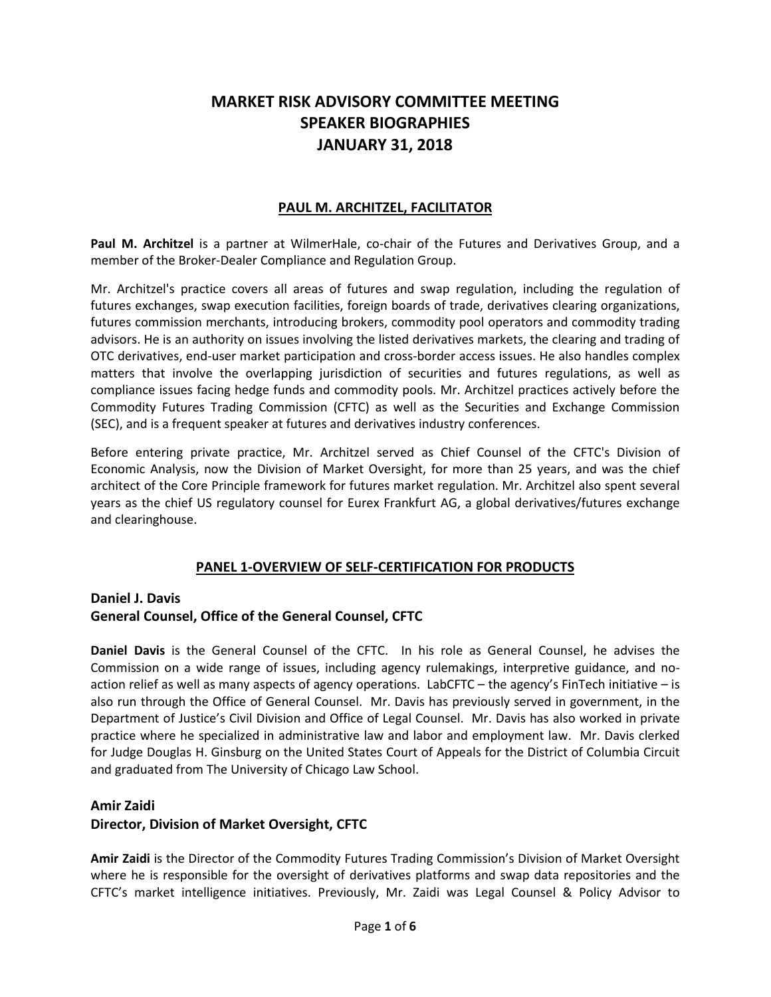# **MARKET RISK ADVISORY COMMITTEE MEETING SPEAKER BIOGRAPHIES JANUARY 31, 2018**

#### **PAUL M. ARCHITZEL, FACILITATOR**

**Paul M. Architzel** is a partner at WilmerHale, co-chair of the Futures and Derivatives Group, and a member of the Broker-Dealer Compliance and Regulation Group.

Mr. Architzel's practice covers all areas of futures and swap regulation, including the regulation of futures exchanges, swap execution facilities, foreign boards of trade, derivatives clearing organizations, futures commission merchants, introducing brokers, commodity pool operators and commodity trading advisors. He is an authority on issues involving the listed derivatives markets, the clearing and trading of OTC derivatives, end-user market participation and cross-border access issues. He also handles complex matters that involve the overlapping jurisdiction of securities and futures regulations, as well as compliance issues facing hedge funds and commodity pools. Mr. Architzel practices actively before the Commodity Futures Trading Commission (CFTC) as well as the Securities and Exchange Commission (SEC), and is a frequent speaker at futures and derivatives industry conferences.

Before entering private practice, Mr. Architzel served as Chief Counsel of the CFTC's Division of Economic Analysis, now the Division of Market Oversight, for more than 25 years, and was the chief architect of the Core Principle framework for futures market regulation. Mr. Architzel also spent several years as the chief US regulatory counsel for Eurex Frankfurt AG, a global derivatives/futures exchange and clearinghouse.

# **PANEL 1-OVERVIEW OF SELF-CERTIFICATION FOR PRODUCTS**

### **Daniel J. Davis General Counsel, Office of the General Counsel, CFTC**

**Daniel Davis** is the General Counsel of the CFTC. In his role as General Counsel, he advises the Commission on a wide range of issues, including agency rulemakings, interpretive guidance, and noaction relief as well as many aspects of agency operations. LabCFTC – the agency's FinTech initiative – is also run through the Office of General Counsel. Mr. Davis has previously served in government, in the Department of Justice's Civil Division and Office of Legal Counsel. Mr. Davis has also worked in private practice where he specialized in administrative law and labor and employment law. Mr. Davis clerked for Judge Douglas H. Ginsburg on the United States Court of Appeals for the District of Columbia Circuit and graduated from The University of Chicago Law School.

#### **Amir Zaidi**

#### **Director, Division of Market Oversight, CFTC**

**Amir Zaidi** is the Director of the Commodity Futures Trading Commission's Division of Market Oversight where he is responsible for the oversight of derivatives platforms and swap data repositories and the CFTC's market intelligence initiatives. Previously, Mr. Zaidi was Legal Counsel & Policy Advisor to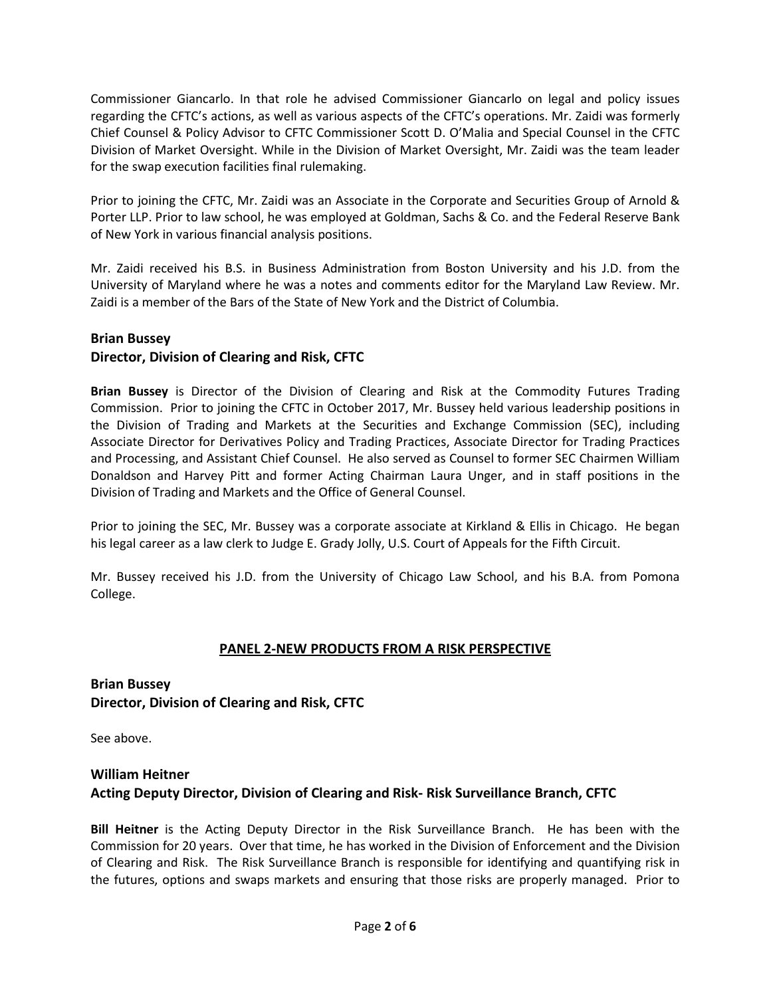Commissioner Giancarlo. In that role he advised Commissioner Giancarlo on legal and policy issues regarding the CFTC's actions, as well as various aspects of the CFTC's operations. Mr. Zaidi was formerly Chief Counsel & Policy Advisor to CFTC Commissioner Scott D. O'Malia and Special Counsel in the CFTC Division of Market Oversight. While in the Division of Market Oversight, Mr. Zaidi was the team leader for the swap execution facilities final rulemaking.

Prior to joining the CFTC, Mr. Zaidi was an Associate in the Corporate and Securities Group of Arnold & Porter LLP. Prior to law school, he was employed at Goldman, Sachs & Co. and the Federal Reserve Bank of New York in various financial analysis positions.

Mr. Zaidi received his B.S. in Business Administration from Boston University and his J.D. from the University of Maryland where he was a notes and comments editor for the Maryland Law Review. Mr. Zaidi is a member of the Bars of the State of New York and the District of Columbia.

#### **Brian Bussey**

# **Director, Division of Clearing and Risk, CFTC**

**Brian Bussey** is Director of the Division of Clearing and Risk at the Commodity Futures Trading Commission. Prior to joining the CFTC in October 2017, Mr. Bussey held various leadership positions in the Division of Trading and Markets at the Securities and Exchange Commission (SEC), including Associate Director for Derivatives Policy and Trading Practices, Associate Director for Trading Practices and Processing, and Assistant Chief Counsel. He also served as Counsel to former SEC Chairmen William Donaldson and Harvey Pitt and former Acting Chairman Laura Unger, and in staff positions in the Division of Trading and Markets and the Office of General Counsel.

Prior to joining the SEC, Mr. Bussey was a corporate associate at Kirkland & Ellis in Chicago. He began his legal career as a law clerk to Judge E. Grady Jolly, U.S. Court of Appeals for the Fifth Circuit.

Mr. Bussey received his J.D. from the University of Chicago Law School, and his B.A. from Pomona College.

#### **PANEL 2-NEW PRODUCTS FROM A RISK PERSPECTIVE**

### **Brian Bussey Director, Division of Clearing and Risk, CFTC**

See above.

### **William Heitner Acting Deputy Director, Division of Clearing and Risk- Risk Surveillance Branch, CFTC**

**Bill Heitner** is the Acting Deputy Director in the Risk Surveillance Branch. He has been with the Commission for 20 years. Over that time, he has worked in the Division of Enforcement and the Division of Clearing and Risk. The Risk Surveillance Branch is responsible for identifying and quantifying risk in the futures, options and swaps markets and ensuring that those risks are properly managed. Prior to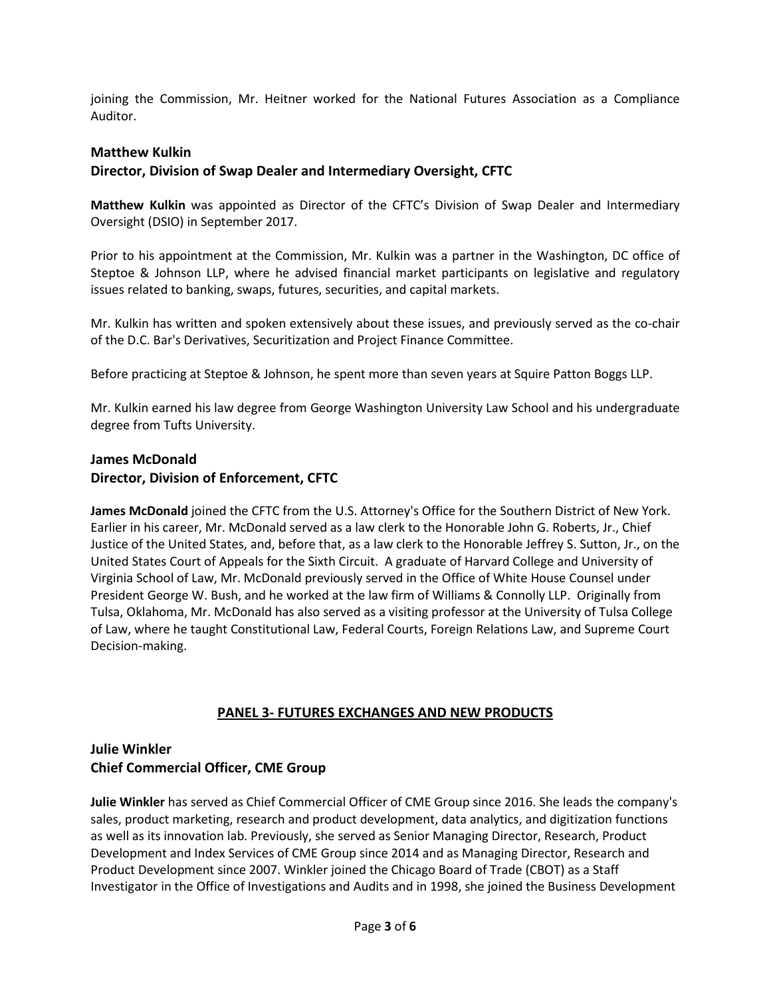joining the Commission, Mr. Heitner worked for the National Futures Association as a Compliance Auditor.

#### **Matthew Kulkin**

#### **Director, Division of Swap Dealer and Intermediary Oversight, CFTC**

**Matthew Kulkin** was appointed as Director of the CFTC's Division of Swap Dealer and Intermediary Oversight (DSIO) in September 2017.

Prior to his appointment at the Commission, Mr. Kulkin was a partner in the Washington, DC office of Steptoe & Johnson LLP, where he advised financial market participants on legislative and regulatory issues related to banking, swaps, futures, securities, and capital markets.

Mr. Kulkin has written and spoken extensively about these issues, and previously served as the co-chair of the D.C. Bar's Derivatives, Securitization and Project Finance Committee.

Before practicing at Steptoe & Johnson, he spent more than seven years at Squire Patton Boggs LLP.

Mr. Kulkin earned his law degree from George Washington University Law School and his undergraduate degree from Tufts University.

## **James McDonald Director, Division of Enforcement, CFTC**

**James McDonald** joined the CFTC from the U.S. Attorney's Office for the Southern District of New York. Earlier in his career, Mr. McDonald served as a law clerk to the Honorable John G. Roberts, Jr., Chief Justice of the United States, and, before that, as a law clerk to the Honorable Jeffrey S. Sutton, Jr., on the United States Court of Appeals for the Sixth Circuit. A graduate of Harvard College and University of Virginia School of Law, Mr. McDonald previously served in the Office of White House Counsel under President George W. Bush, and he worked at the law firm of Williams & Connolly LLP. Originally from Tulsa, Oklahoma, Mr. McDonald has also served as a visiting professor at the University of Tulsa College of Law, where he taught Constitutional Law, Federal Courts, Foreign Relations Law, and Supreme Court Decision-making.

# **PANEL 3- FUTURES EXCHANGES AND NEW PRODUCTS**

### **Julie Winkler Chief Commercial Officer, CME Group**

**Julie Winkler** has served as Chief Commercial Officer of CME Group since 2016. She leads the company's sales, product marketing, research and product development, data analytics, and digitization functions as well as its innovation lab. Previously, she served as Senior Managing Director, Research, Product Development and Index Services of CME Group since 2014 and as Managing Director, Research and Product Development since 2007. Winkler joined the Chicago Board of Trade (CBOT) as a Staff Investigator in the Office of Investigations and Audits and in 1998, she joined the Business Development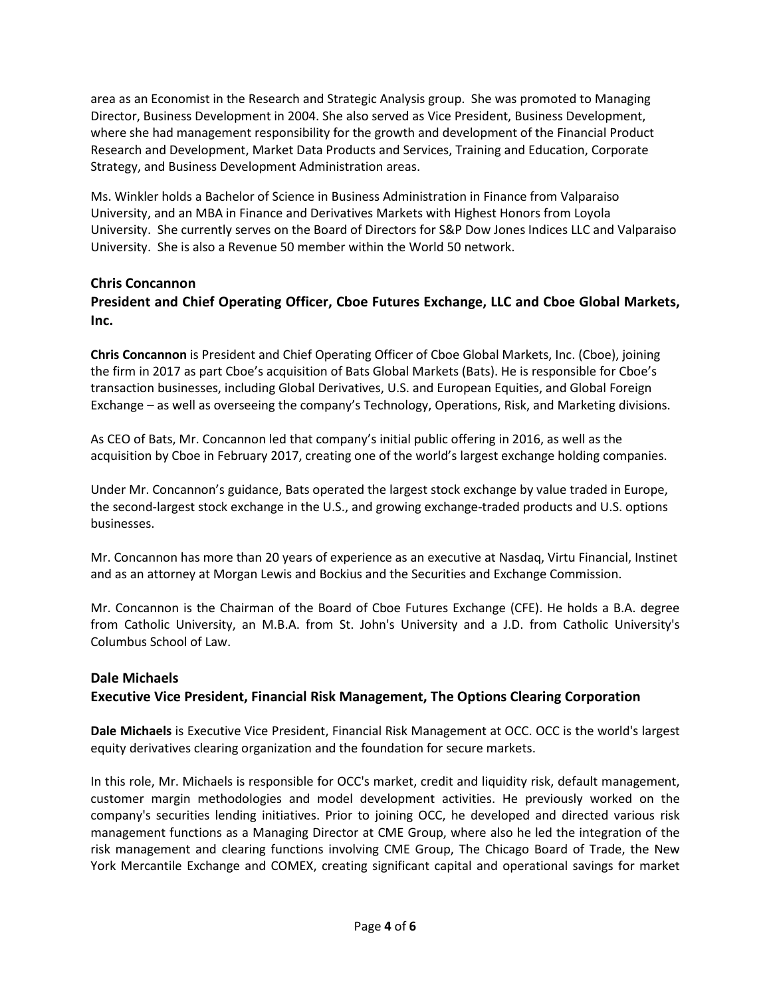area as an Economist in the Research and Strategic Analysis group. She was promoted to Managing Director, Business Development in 2004. She also served as Vice President, Business Development, where she had management responsibility for the growth and development of the Financial Product Research and Development, Market Data Products and Services, Training and Education, Corporate Strategy, and Business Development Administration areas.

Ms. Winkler holds a Bachelor of Science in Business Administration in Finance from Valparaiso University, and an MBA in Finance and Derivatives Markets with Highest Honors from Loyola University. She currently serves on the Board of Directors for S&P Dow Jones Indices LLC and Valparaiso University. She is also a Revenue 50 member within the World 50 network.

#### **Chris Concannon**

# **President and Chief Operating Officer, Cboe Futures Exchange, LLC and Cboe Global Markets, Inc.**

**Chris Concannon** is President and Chief Operating Officer of Cboe Global Markets, Inc. (Cboe), joining the firm in 2017 as part Cboe's acquisition of Bats Global Markets (Bats). He is responsible for Cboe's transaction businesses, including Global Derivatives, U.S. and European Equities, and Global Foreign Exchange – as well as overseeing the company's Technology, Operations, Risk, and Marketing divisions.

As CEO of Bats, Mr. Concannon led that company's initial public offering in 2016, as well as the acquisition by Cboe in February 2017, creating one of the world's largest exchange holding companies.

Under Mr. Concannon's guidance, Bats operated the largest stock exchange by value traded in Europe, the second-largest stock exchange in the U.S., and growing exchange-traded products and U.S. options businesses.

Mr. Concannon has more than 20 years of experience as an executive at Nasdaq, Virtu Financial, Instinet and as an attorney at Morgan Lewis and Bockius and the Securities and Exchange Commission.

Mr. Concannon is the Chairman of the Board of Cboe Futures Exchange (CFE). He holds a B.A. degree from Catholic University, an M.B.A. from St. John's University and a J.D. from Catholic University's Columbus School of Law.

#### **Dale Michaels Executive Vice President, Financial Risk Management, The Options Clearing Corporation**

**Dale Michaels** is Executive Vice President, Financial Risk Management at OCC. OCC is the world's largest equity derivatives clearing organization and the foundation for secure markets.

In this role, Mr. Michaels is responsible for OCC's market, credit and liquidity risk, default management, customer margin methodologies and model development activities. He previously worked on the company's securities lending initiatives. Prior to joining OCC, he developed and directed various risk management functions as a Managing Director at CME Group, where also he led the integration of the risk management and clearing functions involving CME Group, The Chicago Board of Trade, the New York Mercantile Exchange and COMEX, creating significant capital and operational savings for market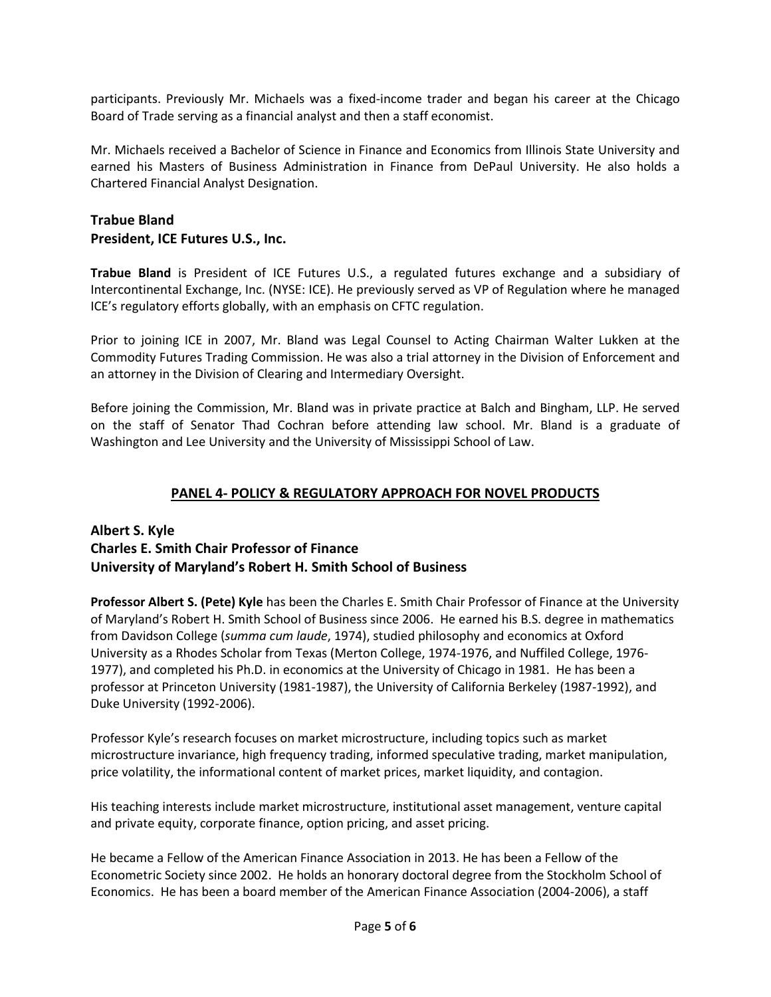participants. Previously Mr. Michaels was a fixed-income trader and began his career at the Chicago Board of Trade serving as a financial analyst and then a staff economist.

Mr. Michaels received a Bachelor of Science in Finance and Economics from Illinois State University and earned his Masters of Business Administration in Finance from DePaul University. He also holds a Chartered Financial Analyst Designation.

# **Trabue Bland President, ICE Futures U.S., Inc.**

**Trabue Bland** is President of ICE Futures U.S., a regulated futures exchange and a subsidiary of Intercontinental Exchange, Inc. (NYSE: ICE). He previously served as VP of Regulation where he managed ICE's regulatory efforts globally, with an emphasis on CFTC regulation.

Prior to joining ICE in 2007, Mr. Bland was Legal Counsel to Acting Chairman Walter Lukken at the Commodity Futures Trading Commission. He was also a trial attorney in the Division of Enforcement and an attorney in the Division of Clearing and Intermediary Oversight.

Before joining the Commission, Mr. Bland was in private practice at Balch and Bingham, LLP. He served on the staff of Senator Thad Cochran before attending law school. Mr. Bland is a graduate of Washington and Lee University and the University of Mississippi School of Law.

# **PANEL 4- POLICY & REGULATORY APPROACH FOR NOVEL PRODUCTS**

### **Albert S. Kyle Charles E. Smith Chair Professor of Finance University of Maryland's Robert H. Smith School of Business**

**Professor Albert S. (Pete) Kyle** has been the Charles E. Smith Chair Professor of Finance at the University of Maryland's Robert H. Smith School of Business since 2006. He earned his B.S. degree in mathematics from Davidson College (*summa cum laude*, 1974), studied philosophy and economics at Oxford University as a Rhodes Scholar from Texas (Merton College, 1974-1976, and Nuffiled College, 1976- 1977), and completed his Ph.D. in economics at the University of Chicago in 1981. He has been a professor at Princeton University (1981-1987), the University of California Berkeley (1987-1992), and Duke University (1992-2006).

Professor Kyle's research focuses on market microstructure, including topics such as market microstructure invariance, high frequency trading, informed speculative trading, market manipulation, price volatility, the informational content of market prices, market liquidity, and contagion.

His teaching interests include market microstructure, institutional asset management, venture capital and private equity, corporate finance, option pricing, and asset pricing.

He became a Fellow of the American Finance Association in 2013. He has been a Fellow of the Econometric Society since 2002. He holds an honorary doctoral degree from the Stockholm School of Economics. He has been a board member of the American Finance Association (2004-2006), a staff